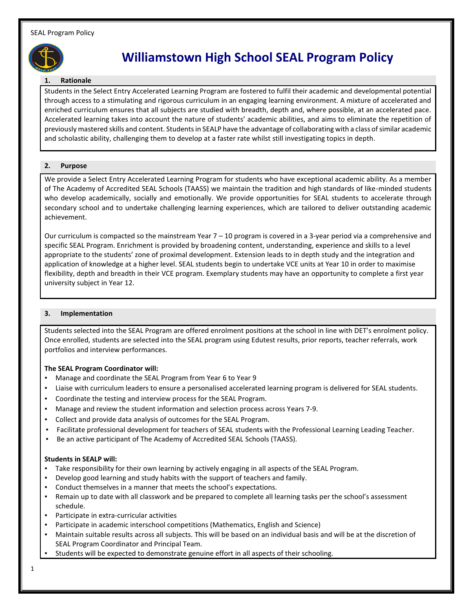

# **Williamstown High School SEAL Program Policy**

#### **1. Rationale**

Students in the Select Entry Accelerated Learning Program are fostered to fulfil their academic and developmental potential through access to a stimulating and rigorous curriculum in an engaging learning environment. A mixture of accelerated and enriched curriculum ensures that all subjects are studied with breadth, depth and, where possible, at an accelerated pace. Accelerated learning takes into account the nature of students' academic abilities, and aims to eliminate the repetition of previously mastered skills and content. Students in SEALP have the advantage of collaborating with a class of similar academic and scholastic ability, challenging them to develop at a faster rate whilst still investigating topics in depth.

#### **2. Purpose**

We provide a Select Entry Accelerated Learning Program for students who have exceptional academic ability. As a member of The Academy of Accredited SEAL Schools (TAASS) we maintain the tradition and high standards of like-minded students who develop academically, socially and emotionally. We provide opportunities for SEAL students to accelerate through secondary school and to undertake challenging learning experiences, which are tailored to deliver outstanding academic achievement.

Our curriculum is compacted so the mainstream Year  $7 - 10$  program is covered in a 3-year period via a comprehensive and specific SEAL Program. Enrichment is provided by broadening content, understanding, experience and skills to a level appropriate to the students' zone of proximal development. Extension leads to in depth study and the integration and application of knowledge at a higher level. SEAL students begin to undertake VCE units at Year 10 in order to maximise flexibility, depth and breadth in their VCE program. Exemplary students may have an opportunity to complete a first year university subject in Year 12.

## **3. Implementation**

Students selected into the SEAL Program are offered enrolment positions at the school in line with DET's enrolment policy. Once enrolled, students are selected into the SEAL program using Edutest results, prior reports, teacher referrals, work portfolios and interview performances.

## **The SEAL Program Coordinator will:**

- Manage and coordinate the SEAL Program from Year 6 to Year 9
- Liaise with curriculum leaders to ensure a personalised accelerated learning program is delivered for SEAL students.
- Coordinate the testing and interview process for the SEAL Program.
- Manage and review the student information and selection process across Years 7-9.
- Collect and provide data analysis of outcomes for the SEAL Program.
- Facilitate professional development for teachers of SEAL students with the Professional Learning Leading Teacher.
- Be an active participant of The Academy of Accredited SEAL Schools (TAASS).

## **Students in SEALP will:**

- Take responsibility for their own learning by actively engaging in all aspects of the SEAL Program.
- Develop good learning and study habits with the support of teachers and family.
- Conduct themselves in a manner that meets the school's expectations.
- Remain up to date with all classwork and be prepared to complete all learning tasks per the school's assessment schedule.
- Participate in extra-curricular activities
- Participate in academic interschool competitions (Mathematics, English and Science)
- Maintain suitable results across all subjects. This will be based on an individual basis and will be at the discretion of SEAL Program Coordinator and Principal Team.
- Students will be expected to demonstrate genuine effort in all aspects of their schooling.
- 1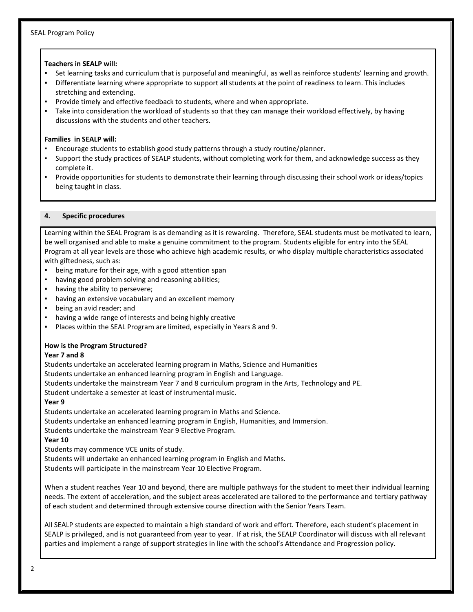#### **Teachers in SEALP will:**

- Set learning tasks and curriculum that is purposeful and meaningful, as well as reinforce students' learning and growth.
- Differentiate learning where appropriate to support all students at the point of readiness to learn. This includes stretching and extending.
- Provide timely and effective feedback to students, where and when appropriate.
- Take into consideration the workload of students so that they can manage their workload effectively, by having discussions with the students and other teachers.

## **Families in SEALP will:**

- Encourage students to establish good study patterns through a study routine/planner.
- Support the study practices of SEALP students, without completing work for them, and acknowledge success as they complete it.
- Provide opportunities for students to demonstrate their learning through discussing their school work or ideas/topics being taught in class.

## **4. Specific procedures**

Learning within the SEAL Program is as demanding as it is rewarding. Therefore, SEAL students must be motivated to learn, be well organised and able to make a genuine commitment to the program. Students eligible for entry into the SEAL Program at all year levels are those who achieve high academic results, or who display multiple characteristics associated with giftedness, such as:

- being mature for their age, with a good attention span
- having good problem solving and reasoning abilities;
- having the ability to persevere;
- having an extensive vocabulary and an excellent memory
- being an avid reader; and
- having a wide range of interests and being highly creative
- Places within the SEAL Program are limited, especially in Years 8 and 9.

## **How is the Program Structured?**

## **Year 7 and 8**

Students undertake an accelerated learning program in Maths, Science and Humanities

Students undertake an enhanced learning program in English and Language.

Students undertake the mainstream Year 7 and 8 curriculum program in the Arts, Technology and PE.

Student undertake a semester at least of instrumental music.

## **Year 9**

Students undertake an accelerated learning program in Maths and Science. Students undertake an enhanced learning program in English, Humanities, and Immersion.

Students undertake the mainstream Year 9 Elective Program.

## **Year 10**

Students may commence VCE units of study.

Students will undertake an enhanced learning program in English and Maths. Students will participate in the mainstream Year 10 Elective Program.

When a student reaches Year 10 and beyond, there are multiple pathways for the student to meet their individual learning needs. The extent of acceleration, and the subject areas accelerated are tailored to the performance and tertiary pathway of each student and determined through extensive course direction with the Senior Years Team.

All SEALP students are expected to maintain a high standard of work and effort. Therefore, each student's placement in SEALP is privileged, and is not guaranteed from year to year. If at risk, the SEALP Coordinator will discuss with all relevant parties and implement a range of support strategies in line with the school's Attendance and Progression policy.